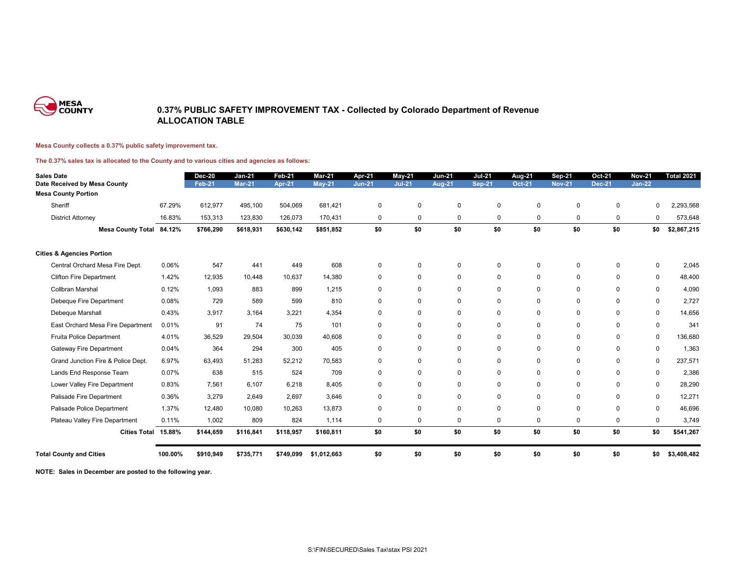

## **0.37% PUBLIC SAFETY IMPROVEMENT TAX - Collected by Colorado Department of Revenue ALLOCATION TABLE**

## **Mesa County collects a 0.37% public safety improvement tax.**

**The 0.37% sales tax is allocated to the County and to various cities and agencies as follows:**

| <b>Sales Date</b><br>Date Received by Mesa County |         | <b>Dec-20</b><br><b>Feb-21</b> | $Jan-21$<br><b>Mar-21</b> | Feb-21<br>Apr-21 | Mar-21<br><b>May-21</b> | Apr-21<br><b>Jun-21</b> | May-21<br><b>Jul-21</b> | <b>Jun-21</b><br>Aug-21 | <b>Jul-21</b><br><b>Sep-21</b> | Aug-21<br><b>Oct-21</b> | <b>Sep-21</b><br><b>Nov-21</b> | <b>Oct-21</b><br><b>Dec-21</b> | <b>Nov-21</b><br>$Jan-22$ | <b>Total 2021</b> |
|---------------------------------------------------|---------|--------------------------------|---------------------------|------------------|-------------------------|-------------------------|-------------------------|-------------------------|--------------------------------|-------------------------|--------------------------------|--------------------------------|---------------------------|-------------------|
| <b>Mesa County Portion</b>                        |         |                                |                           |                  |                         |                         |                         |                         |                                |                         |                                |                                |                           |                   |
| Sheriff                                           | 67.29%  | 612,977                        | 495,100                   | 504,069          | 681,421                 | $\mathbf 0$             | $\Omega$                | $\Omega$                | $\Omega$                       | 0                       | $\Omega$                       | $\Omega$                       | $\Omega$                  | 2,293,568         |
| <b>District Attorney</b>                          | 16.83%  | 153,313                        | 123,830                   | 126,073          | 170,431                 | 0                       | $\mathbf 0$             | $\mathbf 0$             | 0                              | 0                       | 0                              | 0                              | 0                         | 573,648           |
| Mesa County Total 84.12%                          |         | \$766,290                      | \$618,931                 | \$630,142        | \$851,852               | \$0                     | \$0                     | \$0                     | \$0                            | \$0                     | \$0                            | \$0                            | \$0                       | \$2,867,215       |
| <b>Cities &amp; Agencies Portion</b>              |         |                                |                           |                  |                         |                         |                         |                         |                                |                         |                                |                                |                           |                   |
| Central Orchard Mesa Fire Dept.                   | 0.06%   | 547                            | 441                       | 449              | 608                     | $\mathbf 0$             | $\mathbf 0$             | $\mathbf 0$             | $\mathbf 0$                    | 0                       | 0                              | $\mathbf 0$                    | 0                         | 2,045             |
| <b>Clifton Fire Department</b>                    | 1.42%   | 12,935                         | 10,448                    | 10,637           | 14,380                  | $\mathbf 0$             | $\Omega$                | $\Omega$                | $\pmb{0}$                      | 0                       | $\mathbf 0$                    | $\mathbf 0$                    | 0                         | 48,400            |
| <b>Collbran Marshal</b>                           | 0.12%   | 1.093                          | 883                       | 899              | 1,215                   | $\mathbf 0$             | $\Omega$                | $\mathbf 0$             | $\mathbf 0$                    | 0                       | 0                              | $\mathbf 0$                    | 0                         | 4,090             |
| Debeque Fire Department                           | 0.08%   | 729                            | 589                       | 599              | 810                     | $\mathbf 0$             | $\Omega$                | $\Omega$                | $\mathbf 0$                    | 0                       | 0                              | 0                              | 0                         | 2,727             |
| Debeque Marshall                                  | 0.43%   | 3,917                          | 3.164                     | 3.221            | 4.354                   | $\mathbf 0$             | $\Omega$                | $\mathbf 0$             | 0                              | 0                       | 0                              | $\mathbf 0$                    | $\mathbf 0$               | 14,656            |
| East Orchard Mesa Fire Department                 | 0.01%   | 91                             | 74                        | 75               | 101                     | $\mathbf 0$             | $\Omega$                | $\Omega$                | 0                              | 0                       | 0                              | $\Omega$                       | $\mathbf 0$               | 341               |
| Fruita Police Department                          | 4.01%   | 36,529                         | 29,504                    | 30,039           | 40,608                  | $\mathbf 0$             | $\Omega$                | $\Omega$                | $\mathbf 0$                    | 0                       | $\Omega$                       | $\mathbf 0$                    | $\mathbf 0$               | 136,680           |
| <b>Gateway Fire Department</b>                    | 0.04%   | 364                            | 294                       | 300              | 405                     | $\mathbf 0$             | $\Omega$                | $\Omega$                | 0                              | 0                       | 0                              | $\mathbf 0$                    | 0                         | 1,363             |
| Grand Junction Fire & Police Dept.                | 6.97%   | 63,493                         | 51,283                    | 52.212           | 70,583                  | 0                       | $\mathbf 0$             | $\mathbf 0$             | $\mathbf 0$                    | 0                       | 0                              | $\mathbf 0$                    | 0                         | 237,571           |
| Lands End Response Team                           | 0.07%   | 638                            | 515                       | 524              | 709                     | $\mathbf 0$             | $\Omega$                | $\Omega$                | 0                              | 0                       | $\mathbf 0$                    | $\mathbf 0$                    | 0                         | 2,386             |
| Lower Valley Fire Department                      | 0.83%   | 7,561                          | 6,107                     | 6,218            | 8,405                   | $\mathbf 0$             | $\Omega$                | $\Omega$                | $\mathbf 0$                    | 0                       | $\mathbf 0$                    | $\mathbf 0$                    | $\mathbf 0$               | 28,290            |
| Palisade Fire Department                          | 0.36%   | 3,279                          | 2,649                     | 2,697            | 3,646                   | $\mathbf 0$             | $\Omega$                | $\Omega$                | $\Omega$                       | 0                       | 0                              | $\mathbf 0$                    | 0                         | 12,271            |
| Palisade Police Department                        | 1.37%   | 12,480                         | 10,080                    | 10,263           | 13,873                  | $\mathbf 0$             | $\Omega$                | $\Omega$                | 0                              | 0                       | 0                              | $\mathbf 0$                    | 0                         | 46,696            |
| Plateau Valley Fire Department                    | 0.11%   | 1,002                          | 809                       | 824              | 1,114                   | $\mathbf 0$             | $\mathbf 0$             | $\Omega$                | 0                              | 0                       | $\mathbf 0$                    | $\mathbf 0$                    | 0                         | 3,749             |
| <b>Cities Total</b>                               | 15.88%  | \$144,659                      | \$116,841                 | \$118,957        | \$160,811               | \$0                     | \$0                     | \$0                     | \$0                            | \$0                     | \$0                            | \$0                            | \$0                       | \$541,267         |
| <b>Total County and Cities</b>                    | 100.00% | \$910,949                      | \$735,771                 | \$749,099        | \$1,012,663             | \$0                     | \$0                     | \$0                     | \$0                            | \$0                     | \$0                            | \$0                            | \$0                       | \$3,408,482       |

**NOTE: Sales in December are posted to the following year.**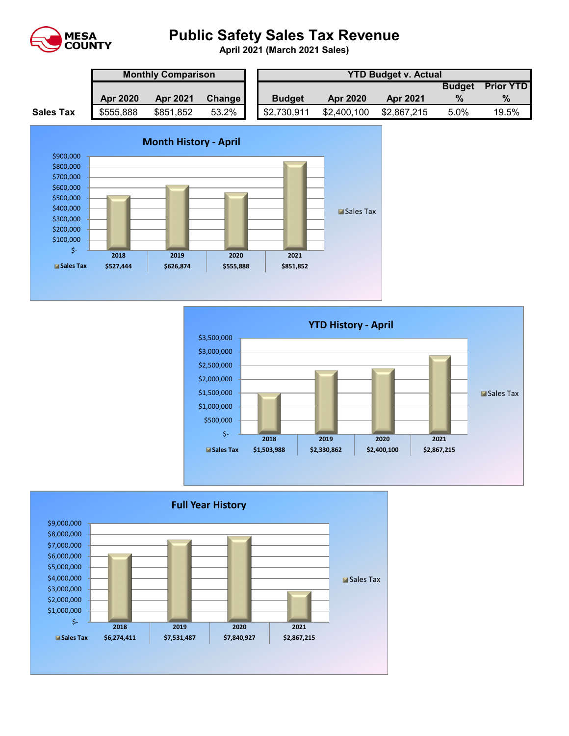

## **Public Safety Sales Tax Revenue**

**April 2021 (March 2021 Sales)** 

|                  | <b>Monthly Comparison</b> |                 |        |  | <b>YTD Budget v. Actual</b> |                 |                 |               |                  |  |  |  |
|------------------|---------------------------|-----------------|--------|--|-----------------------------|-----------------|-----------------|---------------|------------------|--|--|--|
|                  |                           |                 |        |  |                             |                 |                 | <b>Budget</b> | <b>Prior YTD</b> |  |  |  |
|                  | <b>Apr 2020</b>           | <b>Apr 2021</b> | Change |  | <b>Budget</b>               | <b>Apr 2020</b> | <b>Apr 2021</b> | $\%$          | $\%$             |  |  |  |
| <b>Sales Tax</b> | \$555,888                 | \$851,852       | 53.2%  |  | \$2,730,911                 | \$2,400,100     | \$2,867,215     | 5.0%          | 19.5%            |  |  |  |